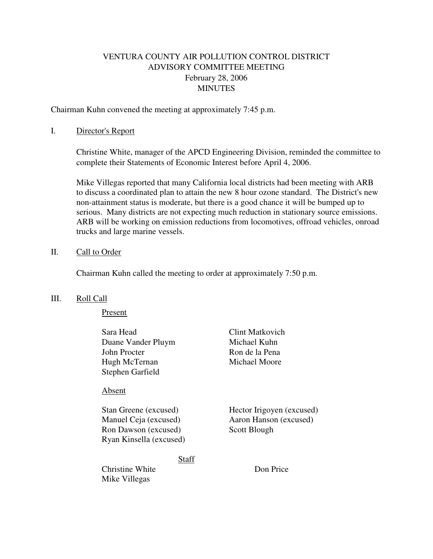# VENTURA COUNTY AIR POLLUTION CONTROL DISTRICT ADVISORY COMMITTEE MEETING February 28, 2006 MINUTES

Chairman Kuhn convened the meeting at approximately 7:45 p.m.

### I. Director's Report

 Christine White, manager of the APCD Engineering Division, reminded the committee to complete their Statements of Economic Interest before April 4, 2006.

Mike Villegas reported that many California local districts had been meeting with ARB to discuss a coordinated plan to attain the new 8 hour ozone standard. The District's new non-attainment status is moderate, but there is a good chance it will be bumped up to serious. Many districts are not expecting much reduction in stationary source emissions. ARB will be working on emission reductions from locomotives, offroad vehicles, onroad trucks and large marine vessels.

#### II. Call to Order

Chairman Kuhn called the meeting to order at approximately 7:50 p.m.

### III. Roll Call

Present

| Sara Head<br>Duane Vander Pluym<br>John Procter<br>Hugh McTernan<br>Stephen Garfield              | Clint Matkovich<br>Michael Kuhn<br>Ron de la Pena<br>Michael Moore  |
|---------------------------------------------------------------------------------------------------|---------------------------------------------------------------------|
| Absent                                                                                            |                                                                     |
| Stan Greene (excused)<br>Manuel Ceja (excused)<br>Ron Dawson (excused)<br>Ryan Kinsella (excused) | Hector Irigoyen (excused)<br>Aaron Hanson (excused)<br>Scott Blough |
| Christine White<br>Mike Villegas                                                                  | Staff<br>Don Price                                                  |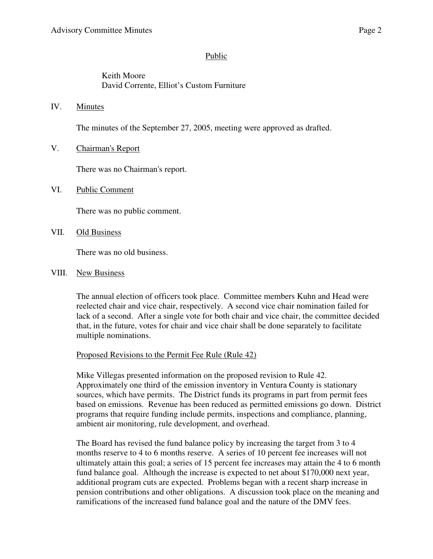### Public

# Keith Moore David Corrente, Elliot's Custom Furniture

IV. Minutes

The minutes of the September 27, 2005, meeting were approved as drafted.

V. Chairman's Report

There was no Chairman's report.

VI. Public Comment

There was no public comment.

VII. Old Business

There was no old business.

VIII. New Business

The annual election of officers took place. Committee members Kuhn and Head were reelected chair and vice chair, respectively. A second vice chair nomination failed for lack of a second. After a single vote for both chair and vice chair, the committee decided that, in the future, votes for chair and vice chair shall be done separately to facilitate multiple nominations.

### Proposed Revisions to the Permit Fee Rule (Rule 42)

Mike Villegas presented information on the proposed revision to Rule 42. Approximately one third of the emission inventory in Ventura County is stationary sources, which have permits. The District funds its programs in part from permit fees based on emissions. Revenue has been reduced as permitted emissions go down. District programs that require funding include permits, inspections and compliance, planning, ambient air monitoring, rule development, and overhead.

The Board has revised the fund balance policy by increasing the target from 3 to 4 months reserve to 4 to 6 months reserve. A series of 10 percent fee increases will not ultimately attain this goal; a series of 15 percent fee increases may attain the 4 to 6 month fund balance goal. Although the increase is expected to net about \$170,000 next year, additional program cuts are expected. Problems began with a recent sharp increase in pension contributions and other obligations. A discussion took place on the meaning and ramifications of the increased fund balance goal and the nature of the DMV fees.